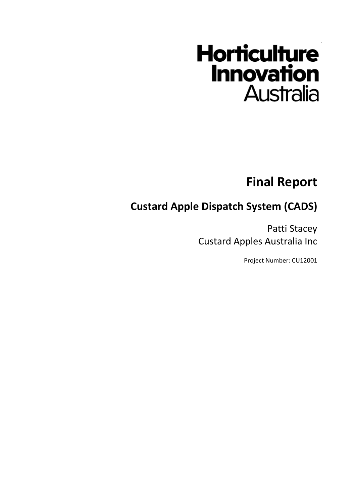# **Horticulture Innovation Australia**

#### **Final Report**

#### **Custard Apple Dispatch System (CADS)**

Patti Stacey Custard Apples Australia Inc

Project Number: CU12001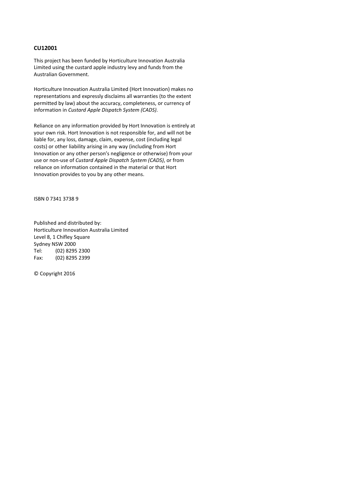#### **CU12001**

This project has been funded by Horticulture Innovation Australia Limited using the custard apple industry levy and funds from the Australian Government.

Horticulture Innovation Australia Limited (Hort Innovation) makes no representations and expressly disclaims all warranties (to the extent permitted by law) about the accuracy, completeness, or currency of information in *Custard Apple Dispatch System (CADS)*.

Reliance on any information provided by Hort Innovation is entirely at your own risk. Hort Innovation is not responsible for, and will not be liable for, any loss, damage, claim, expense, cost (including legal costs) or other liability arising in any way (including from Hort Innovation or any other person's negligence or otherwise) from your use or non-use of *Custard Apple Dispatch System (CADS)*, or from reliance on information contained in the material or that Hort Innovation provides to you by any other means.

ISBN 0 7341 3738 9

Published and distributed by: Horticulture Innovation Australia Limited Level 8, 1 Chifley Square Sydney NSW 2000 Tel: (02) 8295 2300 Fax: (02) 8295 2399

© Copyright 2016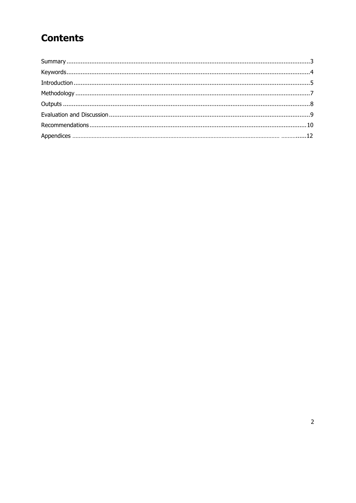## **Contents**

 $\overline{a}$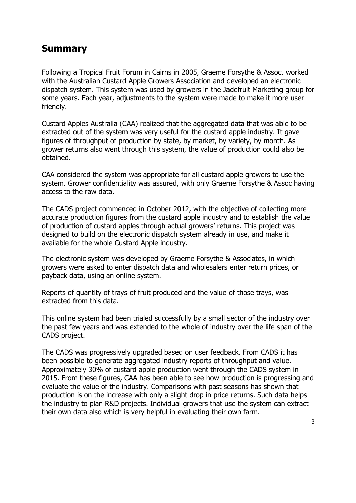#### Summary

Following a Tropical Fruit Forum in Cairns in 2005, Graeme Forsythe & Assoc. worked with the Australian Custard Apple Growers Association and developed an electronic dispatch system. This system was used by growers in the Jadefruit Marketing group for some years. Each year, adjustments to the system were made to make it more user friendly.

Custard Apples Australia (CAA) realized that the aggregated data that was able to be extracted out of the system was very useful for the custard apple industry. It gave figures of throughput of production by state, by market, by variety, by month. As grower returns also went through this system, the value of production could also be obtained.

CAA considered the system was appropriate for all custard apple growers to use the system. Grower confidentiality was assured, with only Graeme Forsythe & Assoc having access to the raw data.

The CADS project commenced in October 2012, with the objective of collecting more accurate production figures from the custard apple industry and to establish the value of production of custard apples through actual growers' returns. This project was designed to build on the electronic dispatch system already in use, and make it available for the whole Custard Apple industry.

The electronic system was developed by Graeme Forsythe & Associates, in which growers were asked to enter dispatch data and wholesalers enter return prices, or payback data, using an online system.

Reports of quantity of trays of fruit produced and the value of those trays, was extracted from this data.

This online system had been trialed successfully by a small sector of the industry over the past few years and was extended to the whole of industry over the life span of the CADS project.

The CADS was progressively upgraded based on user feedback. From CADS it has been possible to generate aggregated industry reports of throughput and value. Approximately 30% of custard apple production went through the CADS system in 2015. From these figures, CAA has been able to see how production is progressing and evaluate the value of the industry. Comparisons with past seasons has shown that production is on the increase with only a slight drop in price returns. Such data helps the industry to plan R&D projects. Individual growers that use the system can extract their own data also which is very helpful in evaluating their own farm.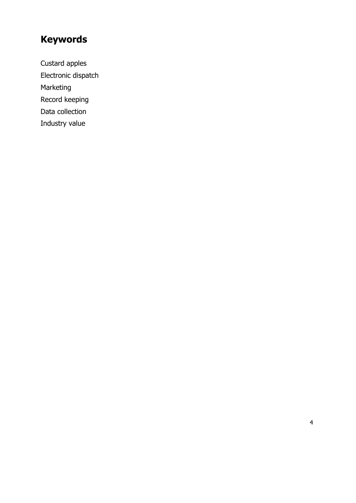## Keywords

Custard apples Electronic dispatch Marketing Record keeping Data collection Industry value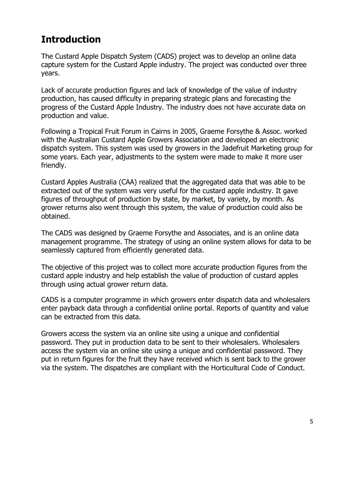### Introduction

The Custard Apple Dispatch System (CADS) project was to develop an online data capture system for the Custard Apple industry. The project was conducted over three years.

Lack of accurate production figures and lack of knowledge of the value of industry production, has caused difficulty in preparing strategic plans and forecasting the progress of the Custard Apple Industry. The industry does not have accurate data on production and value.

Following a Tropical Fruit Forum in Cairns in 2005, Graeme Forsythe & Assoc. worked with the Australian Custard Apple Growers Association and developed an electronic dispatch system. This system was used by growers in the Jadefruit Marketing group for some years. Each year, adjustments to the system were made to make it more user friendly.

Custard Apples Australia (CAA) realized that the aggregated data that was able to be extracted out of the system was very useful for the custard apple industry. It gave figures of throughput of production by state, by market, by variety, by month. As grower returns also went through this system, the value of production could also be obtained.

The CADS was designed by Graeme Forsythe and Associates, and is an online data management programme. The strategy of using an online system allows for data to be seamlessly captured from efficiently generated data.

The objective of this project was to collect more accurate production figures from the custard apple industry and help establish the value of production of custard apples through using actual grower return data.

CADS is a computer programme in which growers enter dispatch data and wholesalers enter payback data through a confidential online portal. Reports of quantity and value can be extracted from this data.

Growers access the system via an online site using a unique and confidential password. They put in production data to be sent to their wholesalers. Wholesalers access the system via an online site using a unique and confidential password. They put in return figures for the fruit they have received which is sent back to the grower via the system. The dispatches are compliant with the Horticultural Code of Conduct.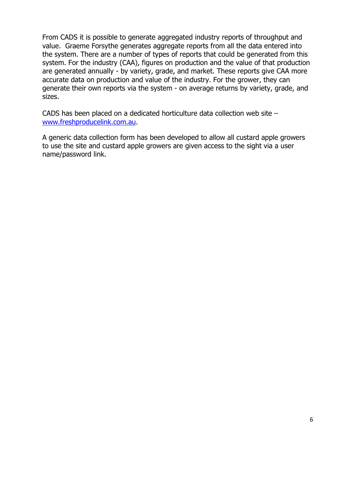From CADS it is possible to generate aggregated industry reports of throughput and value. Graeme Forsythe generates aggregate reports from all the data entered into the system. There are a number of types of reports that could be generated from this system. For the industry (CAA), figures on production and the value of that production are generated annually - by variety, grade, and market. These reports give CAA more accurate data on production and value of the industry. For the grower, they can generate their own reports via the system - on average returns by variety, grade, and sizes.

CADS has been placed on a dedicated horticulture data collection web site – www.freshproducelink.com.au.

A generic data collection form has been developed to allow all custard apple growers to use the site and custard apple growers are given access to the sight via a user name/password link.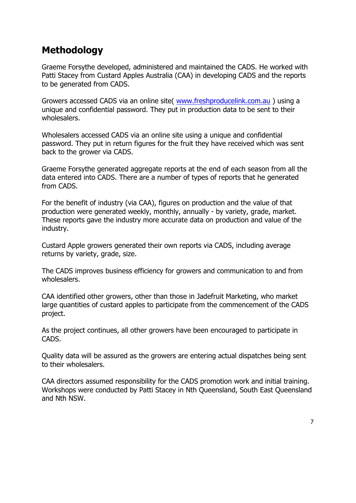### Methodology

Graeme Forsythe developed, administered and maintained the CADS. He worked with Patti Stacey from Custard Apples Australia (CAA) in developing CADS and the reports to be generated from CADS.

Growers accessed CADS via an online site( www.freshproducelink.com.au ) using a unique and confidential password. They put in production data to be sent to their wholesalers.

Wholesalers accessed CADS via an online site using a unique and confidential password. They put in return figures for the fruit they have received which was sent back to the grower via CADS.

Graeme Forsythe generated aggregate reports at the end of each season from all the data entered into CADS. There are a number of types of reports that he generated from CADS.

For the benefit of industry (via CAA), figures on production and the value of that production were generated weekly, monthly, annually - by variety, grade, market. These reports gave the industry more accurate data on production and value of the industry.

Custard Apple growers generated their own reports via CADS, including average returns by variety, grade, size.

The CADS improves business efficiency for growers and communication to and from wholesalers.

CAA identified other growers, other than those in Jadefruit Marketing, who market large quantities of custard apples to participate from the commencement of the CADS project.

As the project continues, all other growers have been encouraged to participate in CADS.

Quality data will be assured as the growers are entering actual dispatches being sent to their wholesalers.

CAA directors assumed responsibility for the CADS promotion work and initial training. Workshops were conducted by Patti Stacey in Nth Queensland, South East Queensland and Nth NSW.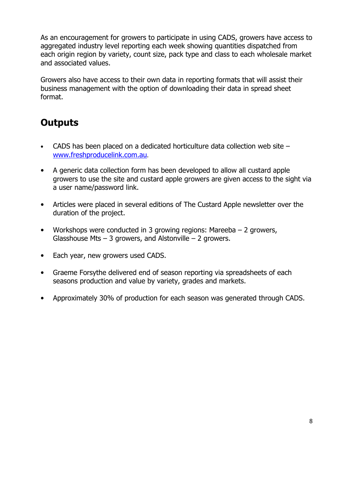As an encouragement for growers to participate in using CADS, growers have access to aggregated industry level reporting each week showing quantities dispatched from each origin region by variety, count size, pack type and class to each wholesale market and associated values.

Growers also have access to their own data in reporting formats that will assist their business management with the option of downloading their data in spread sheet format.

#### **Outputs**

- CADS has been placed on a dedicated horticulture data collection web site www.freshproducelink.com.au.
- A generic data collection form has been developed to allow all custard apple growers to use the site and custard apple growers are given access to the sight via a user name/password link.
- Articles were placed in several editions of The Custard Apple newsletter over the duration of the project.
- Workshops were conducted in 3 growing regions: Mareeba 2 growers, Glasshouse Mts  $-$  3 growers, and Alstonville  $-$  2 growers.
- Each year, new growers used CADS.
- Graeme Forsythe delivered end of season reporting via spreadsheets of each seasons production and value by variety, grades and markets.
- Approximately 30% of production for each season was generated through CADS.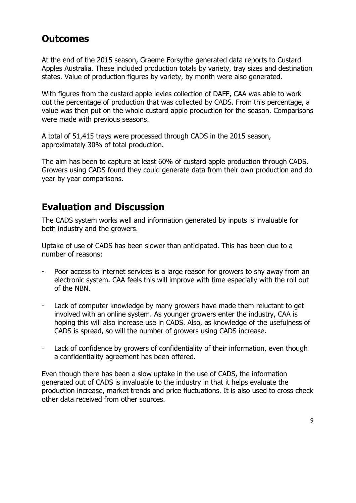#### **Outcomes**

At the end of the 2015 season, Graeme Forsythe generated data reports to Custard Apples Australia. These included production totals by variety, tray sizes and destination states. Value of production figures by variety, by month were also generated.

With figures from the custard apple levies collection of DAFF, CAA was able to work out the percentage of production that was collected by CADS. From this percentage, a value was then put on the whole custard apple production for the season. Comparisons were made with previous seasons.

A total of 51,415 trays were processed through CADS in the 2015 season, approximately 30% of total production.

The aim has been to capture at least 60% of custard apple production through CADS. Growers using CADS found they could generate data from their own production and do year by year comparisons.

- Poor access to internet services is a large reason for growers to shy away from an electronic system. CAA feels this will improve with time especially with the roll out of the NBN.
- Lack of computer knowledge by many growers have made them reluctant to get involved with an online system. As younger growers enter the industry, CAA is hoping this will also increase use in CADS. Also, as knowledge of the usefulness of CADS is spread, so will the number of growers using CADS increase.
- Lack of confidence by growers of confidentiality of their information, even though a confidentiality agreement has been offered.

#### Evaluation and Discussion

The CADS system works well and information generated by inputs is invaluable for both industry and the growers.

Uptake of use of CADS has been slower than anticipated. This has been due to a number of reasons:

Even though there has been a slow uptake in the use of CADS, the information generated out of CADS is invaluable to the industry in that it helps evaluate the production increase, market trends and price fluctuations. It is also used to cross check other data received from other sources.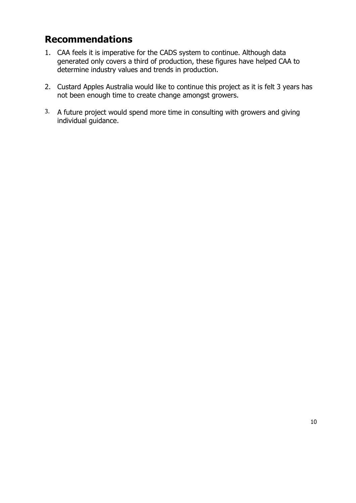## Recommendations

- 1. CAA feels it is imperative for the CADS system to continue. Although data generated only covers a third of production, these figures have helped CAA to determine industry values and trends in production.
- 2. Custard Apples Australia would like to continue this project as it is felt 3 years has not been enough time to create change amongst growers.
- 3. A future project would spend more time in consulting with growers and giving individual guidance.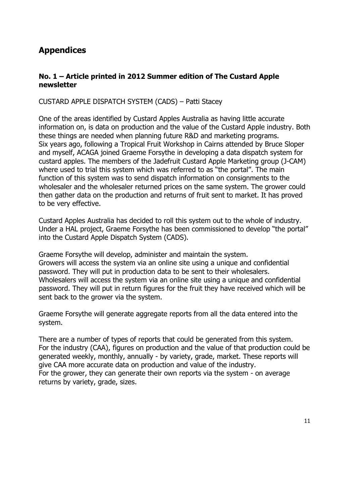#### Appendices

#### No. 1 – Article printed in 2012 Summer edition of The Custard Apple newsletter

CUSTARD APPLE DISPATCH SYSTEM (CADS) – Patti Stacey

One of the areas identified by Custard Apples Australia as having little accurate information on, is data on production and the value of the Custard Apple industry. Both these things are needed when planning future R&D and marketing programs. Six years ago, following a Tropical Fruit Workshop in Cairns attended by Bruce Sloper and myself, ACAGA joined Graeme Forsythe in developing a data dispatch system for custard apples. The members of the Jadefruit Custard Apple Marketing group (J-CAM) where used to trial this system which was referred to as "the portal". The main function of this system was to send dispatch information on consignments to the wholesaler and the wholesaler returned prices on the same system. The grower could then gather data on the production and returns of fruit sent to market. It has proved to be very effective.

Custard Apples Australia has decided to roll this system out to the whole of industry. Under a HAL project, Graeme Forsythe has been commissioned to develop "the portal" into the Custard Apple Dispatch System (CADS).

Graeme Forsythe will develop, administer and maintain the system. Growers will access the system via an online site using a unique and confidential password. They will put in production data to be sent to their wholesalers. Wholesalers will access the system via an online site using a unique and confidential password. They will put in return figures for the fruit they have received which will be sent back to the grower via the system.

Graeme Forsythe will generate aggregate reports from all the data entered into the system.

There are a number of types of reports that could be generated from this system. For the industry (CAA), figures on production and the value of that production could be generated weekly, monthly, annually - by variety, grade, market. These reports will give CAA more accurate data on production and value of the industry. For the grower, they can generate their own reports via the system - on average

returns by variety, grade, sizes.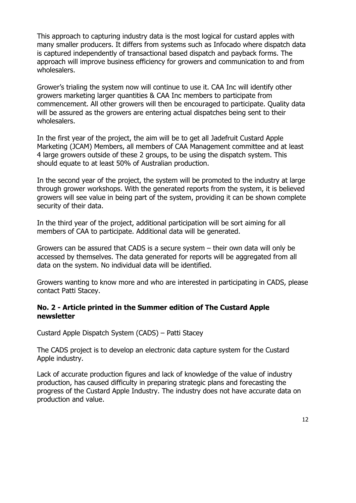This approach to capturing industry data is the most logical for custard apples with many smaller producers. It differs from systems such as Infocado where dispatch data is captured independently of transactional based dispatch and payback forms. The approach will improve business efficiency for growers and communication to and from wholesalers.

Grower's trialing the system now will continue to use it. CAA Inc will identify other growers marketing larger quantities & CAA Inc members to participate from commencement. All other growers will then be encouraged to participate. Quality data will be assured as the growers are entering actual dispatches being sent to their wholesalers.

In the first year of the project, the aim will be to get all Jadefruit Custard Apple Marketing (JCAM) Members, all members of CAA Management committee and at least 4 large growers outside of these 2 groups, to be using the dispatch system. This should equate to at least 50% of Australian production.

In the second year of the project, the system will be promoted to the industry at large through grower workshops. With the generated reports from the system, it is believed growers will see value in being part of the system, providing it can be shown complete security of their data.

In the third year of the project, additional participation will be sort aiming for all members of CAA to participate. Additional data will be generated.

Growers can be assured that CADS is a secure system – their own data will only be accessed by themselves. The data generated for reports will be aggregated from all data on the system. No individual data will be identified.

Growers wanting to know more and who are interested in participating in CADS, please contact Patti Stacey.

#### No. 2 - Article printed in the Summer edition of The Custard Apple newsletter

Custard Apple Dispatch System (CADS) – Patti Stacey

The CADS project is to develop an electronic data capture system for the Custard Apple industry.

Lack of accurate production figures and lack of knowledge of the value of industry production, has caused difficulty in preparing strategic plans and forecasting the progress of the Custard Apple Industry. The industry does not have accurate data on production and value.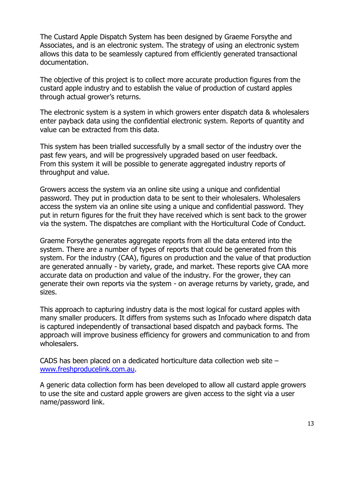The Custard Apple Dispatch System has been designed by Graeme Forsythe and Associates, and is an electronic system. The strategy of using an electronic system allows this data to be seamlessly captured from efficiently generated transactional documentation.

The objective of this project is to collect more accurate production figures from the custard apple industry and to establish the value of production of custard apples through actual grower's returns.

The electronic system is a system in which growers enter dispatch data & wholesalers enter payback data using the confidential electronic system. Reports of quantity and value can be extracted from this data.

This system has been trialled successfully by a small sector of the industry over the past few years, and will be progressively upgraded based on user feedback. From this system it will be possible to generate aggregated industry reports of throughput and value.

Growers access the system via an online site using a unique and confidential password. They put in production data to be sent to their wholesalers. Wholesalers access the system via an online site using a unique and confidential password. They put in return figures for the fruit they have received which is sent back to the grower via the system. The dispatches are compliant with the Horticultural Code of Conduct.

Graeme Forsythe generates aggregate reports from all the data entered into the system. There are a number of types of reports that could be generated from this system. For the industry (CAA), figures on production and the value of that production are generated annually - by variety, grade, and market. These reports give CAA more accurate data on production and value of the industry. For the grower, they can generate their own reports via the system - on average returns by variety, grade, and sizes.

This approach to capturing industry data is the most logical for custard apples with many smaller producers. It differs from systems such as Infocado where dispatch data is captured independently of transactional based dispatch and payback forms. The approach will improve business efficiency for growers and communication to and from wholesalers.

CADS has been placed on a dedicated horticulture data collection web site – www.freshproducelink.com.au.

A generic data collection form has been developed to allow all custard apple growers to use the site and custard apple growers are given access to the sight via a user name/password link.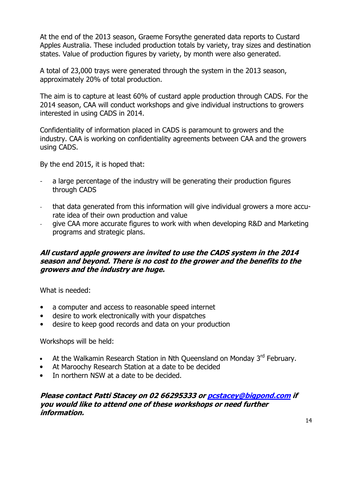At the end of the 2013 season, Graeme Forsythe generated data reports to Custard Apples Australia. These included production totals by variety, tray sizes and destination states. Value of production figures by variety, by month were also generated.

A total of 23,000 trays were generated through the system in the 2013 season, approximately 20% of total production.

The aim is to capture at least 60% of custard apple production through CADS. For the 2014 season, CAA will conduct workshops and give individual instructions to growers interested in using CADS in 2014.

- a large percentage of the industry will be generating their production figures through CADS
- that data generated from this information will give individual growers a more accurate idea of their own production and value
- give CAA more accurate figures to work with when developing R&D and Marketing programs and strategic plans.

Confidentiality of information placed in CADS is paramount to growers and the industry. CAA is working on confidentiality agreements between CAA and the growers using CADS.

By the end 2015, it is hoped that:

#### All custard apple growers are invited to use the CADS system in the 2014 season and beyond. There is no cost to the grower and the benefits to the growers and the industry are huge.

What is needed:

- a computer and access to reasonable speed internet
- desire to work electronically with your dispatches
- desire to keep good records and data on your production

Workshops will be held:

- At the Walkamin Research Station in Nth Queensland on Monday 3rd February.
- At Maroochy Research Station at a date to be decided
- In northern NSW at a date to be decided.

Please contact Patti Stacey on 02 66295333 or pcstacey@bigpond.com if you would like to attend one of these workshops or need further information.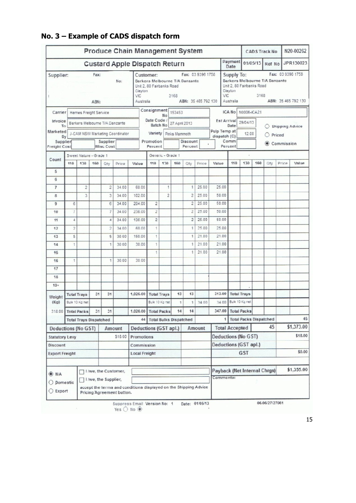| <b>Produce Chain Management System</b> |                                                          |                               |          |                                 |       |                                                                                                                                                             |                           |                                      | <b>CADS Track No</b>        |                                           |       | N20-00262                                                                                                                                             |                                                         |                               |            |            |        |                        |  |
|----------------------------------------|----------------------------------------------------------|-------------------------------|----------|---------------------------------|-------|-------------------------------------------------------------------------------------------------------------------------------------------------------------|---------------------------|--------------------------------------|-----------------------------|-------------------------------------------|-------|-------------------------------------------------------------------------------------------------------------------------------------------------------|---------------------------------------------------------|-------------------------------|------------|------------|--------|------------------------|--|
|                                        |                                                          |                               |          |                                 |       | <b>Custard Apple Dispatch Return</b>                                                                                                                        |                           |                                      |                             |                                           |       |                                                                                                                                                       | Payment<br>Date                                         | 01/05/13                      |            | Ref No     |        | JPR130023              |  |
| Fax:<br>Supplier:<br>No:<br>ABN:       |                                                          |                               |          |                                 | VIC   | Fax: 03 9396 1758<br>Customer:<br>Barkers Melbourne T/A Danzante<br>Unit 2, 80 Fairbanks Road<br>Clayton<br>VIC<br>3168<br>ABN: 35 465 792 130<br>Australia |                           |                                      |                             |                                           |       | Fax: 03 9396 1758<br>Supply To:<br>Barkers Melbourne T/A Danzante<br>Unit 2, 80 Fairbanks Road<br>Clayton<br>3168<br>Australia<br>ABN: 35 465 792 130 |                                                         |                               |            |            |        |                        |  |
| Carrier                                |                                                          | Hernes Freight Service        |          |                                 |       |                                                                                                                                                             | Consignment               |                                      | 153453                      |                                           |       |                                                                                                                                                       | <b>ICA No</b><br>N0006-ICA21                            |                               |            |            |        |                        |  |
| Invoice                                |                                                          |                               |          |                                 |       |                                                                                                                                                             |                           | No<br>Date Code /<br>27 April 2013   |                             |                                           |       |                                                                                                                                                       | Est Arrival 29/04/13                                    |                               |            |            |        |                        |  |
| To<br>Marketed                         |                                                          |                               |          | Barkers Melbourne T/A Danzante  |       |                                                                                                                                                             | Batch No<br>Variety       |                                      |                             |                                           |       |                                                                                                                                                       | Date<br>Pulp Temp at<br>dispatch (C)<br>Comm<br>Percent |                               | 12.00<br>◉ |            |        | <b>Shipping Advice</b> |  |
| By<br>Supplier<br><b>Freight Cost</b>  | J-CAM NSW Marketing Coordinator<br>Supplier<br>Misc Cost |                               |          |                                 |       | Promotion<br>Percent                                                                                                                                        |                           | Pinks Mammoth<br>Discount<br>Percent |                             |                                           |       | Priced<br>Commission                                                                                                                                  |                                                         |                               |            |            |        |                        |  |
|                                        |                                                          | Sweet Nature - Grade 1        |          |                                 |       |                                                                                                                                                             |                           | Generic - Grade 1                    |                             |                                           |       |                                                                                                                                                       |                                                         |                               |            |            |        |                        |  |
| Count                                  | 110                                                      | 130                           | 160      | Qty                             | Price | Value                                                                                                                                                       | 110                       | 130                                  | 160                         | Qty                                       | Price | Value                                                                                                                                                 | 110                                                     | 130                           | 160        | Qty        | Price  | Value                  |  |
| 5                                      |                                                          |                               |          |                                 |       |                                                                                                                                                             |                           |                                      |                             |                                           |       |                                                                                                                                                       |                                                         |                               |            |            |        |                        |  |
| 6                                      |                                                          |                               |          |                                 |       |                                                                                                                                                             |                           |                                      |                             |                                           |       |                                                                                                                                                       |                                                         |                               |            |            |        |                        |  |
| $\overline{7}$                         |                                                          | $\overline{c}$                |          | 2                               | 34.00 | 68.00                                                                                                                                                       |                           | 1                                    |                             | 1                                         | 25.00 | 25.00                                                                                                                                                 |                                                         |                               |            |            |        |                        |  |
| 8                                      |                                                          | 3                             |          | 3                               | 34.00 | 102.00                                                                                                                                                      |                           | $\overline{c}$                       |                             | $\overline{c}$                            | 25.00 | 50.00                                                                                                                                                 |                                                         |                               |            |            |        |                        |  |
| 9                                      | 6                                                        |                               |          | 6                               | 34.00 | 204.00                                                                                                                                                      | $\overline{c}$            |                                      |                             | 2                                         | 25.00 | 50.00                                                                                                                                                 |                                                         |                               |            |            |        |                        |  |
| 10                                     | 7                                                        |                               |          | 7                               | 34.00 | 238.00                                                                                                                                                      | $\overline{c}$            |                                      |                             | $\overline{2}$                            | 25.00 | 50.00                                                                                                                                                 |                                                         |                               |            |            |        |                        |  |
| 11                                     | 4                                                        |                               |          | 4                               | 34.00 | 136.00                                                                                                                                                      | $\overline{2}$            |                                      |                             | 2                                         | 25.00 | 50.00                                                                                                                                                 |                                                         |                               |            |            |        |                        |  |
| 12                                     | 2                                                        |                               |          | 2                               | 34.00 | 68.00                                                                                                                                                       | 1                         |                                      |                             | 1                                         | 25.00 | 25.00                                                                                                                                                 |                                                         |                               |            |            |        |                        |  |
| 13                                     | 5                                                        |                               |          | 5                               | 30.00 | 150.00                                                                                                                                                      | 1                         |                                      |                             | 1                                         | 21.00 | 21.00                                                                                                                                                 |                                                         |                               |            |            |        |                        |  |
| 14                                     | 1                                                        |                               |          | 1                               | 30.00 | 30.00                                                                                                                                                       | $\ddagger$                |                                      |                             |                                           | 21.00 | 21.00                                                                                                                                                 |                                                         |                               |            |            |        |                        |  |
| 15                                     |                                                          |                               |          |                                 |       |                                                                                                                                                             | 1                         |                                      |                             |                                           | 21.00 | 21.00                                                                                                                                                 |                                                         |                               |            |            |        |                        |  |
| 16                                     | 1                                                        |                               |          | 1                               | 30.00 | 30.00                                                                                                                                                       |                           |                                      |                             |                                           |       |                                                                                                                                                       |                                                         |                               |            |            |        |                        |  |
| 17                                     |                                                          |                               |          |                                 |       |                                                                                                                                                             |                           |                                      |                             |                                           |       |                                                                                                                                                       |                                                         |                               |            |            |        |                        |  |
| 18                                     |                                                          |                               |          |                                 |       |                                                                                                                                                             |                           |                                      |                             |                                           |       |                                                                                                                                                       |                                                         |                               |            |            |        |                        |  |
| $19+$                                  |                                                          |                               |          |                                 |       |                                                                                                                                                             |                           |                                      |                             |                                           |       |                                                                                                                                                       |                                                         |                               |            |            |        |                        |  |
| Weight                                 | 31<br>31<br><b>Total Trays</b>                           |                               | 1,026.00 | 13<br><b>Total Trays</b>        |       |                                                                                                                                                             | 13                        | 313.00                               |                             | <b>Total Trays</b>                        |       |                                                                                                                                                       |                                                         |                               |            |            |        |                        |  |
| (Kg)                                   |                                                          | Bulk 10 Kg net                |          |                                 |       |                                                                                                                                                             |                           | Bulk 10 Kg net                       | $\ddot{\text{1}}$           | 1                                         | 34.00 | 34.00                                                                                                                                                 |                                                         | Bulk 10 Kg net                |            |            |        |                        |  |
| 318.00                                 |                                                          | <b>Total Packs</b>            | 31       | 31                              |       | 1.026.00                                                                                                                                                    |                           | <b>Total Packs</b>                   | 14                          | 14                                        |       | 347.00                                                                                                                                                |                                                         | <b>Total Packs</b>            |            |            |        |                        |  |
|                                        |                                                          | <b>Total Trays Dispatched</b> |          |                                 |       |                                                                                                                                                             | 44 Total Bulks Dispatched |                                      |                             |                                           |       | 1                                                                                                                                                     |                                                         | <b>Total Packs Dispatched</b> |            |            |        | 45                     |  |
| <b>Deductions (No GST)</b><br>Amount   |                                                          |                               |          | Amount<br>Deductions (GST apl.) |       |                                                                                                                                                             |                           |                                      | 45<br><b>Total Accepted</b> |                                           |       |                                                                                                                                                       | \$1,373.00                                              |                               |            |            |        |                        |  |
| \$18.00<br><b>Statutory Levy</b>       |                                                          |                               |          | Promotions                      |       |                                                                                                                                                             |                           | Deductions (No GST)                  |                             |                                           |       |                                                                                                                                                       | \$18.00                                                 |                               |            |            |        |                        |  |
| Discount                               |                                                          |                               |          |                                 |       | Commission                                                                                                                                                  |                           |                                      |                             |                                           |       | Deductions (GST apl.)                                                                                                                                 |                                                         |                               |            |            |        |                        |  |
| <b>Export Freight</b>                  |                                                          |                               |          |                                 |       | <b>Local Freight</b>                                                                                                                                        |                           |                                      |                             |                                           |       | <b>GST</b>                                                                                                                                            |                                                         |                               |            |            | \$0.00 |                        |  |
| I /we, the Customer,<br>$\odot$ N/A    |                                                          |                               |          |                                 |       |                                                                                                                                                             |                           |                                      |                             | Payback (Net Internal Chrgs)<br>Comments: |       |                                                                                                                                                       |                                                         |                               |            | \$1,355.00 |        |                        |  |

#### No. 3 – Example of CADS dispatch form

| $\bigcirc$ Domestic $\bigcup$<br>Export | accept the terms and conditions displayed on the Shipping Advice<br>Pricing Agreement button. |                |                |
|-----------------------------------------|-----------------------------------------------------------------------------------------------|----------------|----------------|
|                                         | Suppress Email Version No: 1<br>Yes $\bigcirc$ No $\circledcirc$                              | Date: 01/05/13 | 06.06/27/27061 |